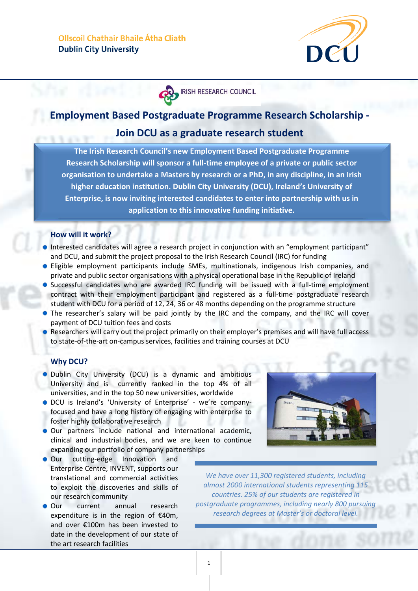

**IRISH RESEARCH COUNCIL** 

# **Employment Based Postgraduate Programme Research Scholarship -**

## **Join DCU as a graduate research student**

**The Irish Research Council's new Employment Based Postgraduate Programme Research Scholarship will sponsor a full-time employee of a private or public sector organisation to undertake a Masters by research or a PhD, in any discipline, in an Irish higher education institution. Dublin City University (DCU), Ireland's University of Enterprise, is now inviting interested candidates to enter into partnership with us in application to this innovative funding initiative.**

## **How will it work?**

- Interested candidates will agree a research project in conjunction with an "employment participant" and DCU, and submit the project proposal to the Irish Research Council (IRC) for funding
- Eligible employment participants include SMEs, multinationals, indigenous Irish companies, and private and public sector organisations with a physical operational base in the Republic of Ireland
- Successful candidates who are awarded IRC funding will be issued with a full-time employment contract with their employment participant and registered as a full-time postgraduate research student with DCU for a period of 12, 24, 36 or 48 months depending on the programme structure
- The researcher's salary will be paid jointly by the IRC and the company, and the IRC will cover payment of DCU tuition fees and costs
- Researchers will carry out the project primarily on their employer's premises and will have full access to state-of-the-art on-campus services, facilities and training courses at DCU

### **Why DCU?**

- **•** Dublin City University (DCU) is a dynamic and ambitious University and is currently ranked in the top 4% of all universities, and in the top 50 new universities, worldwide
- DCU is Ireland's 'University of Enterprise' we're companyfocused and have a long history of engaging with enterprise to foster highly collaborative research
- Our partners include national and international academic, clinical and industrial bodies, and we are keen to continue expanding our portfolio of company partnerships
- Our cutting-edge Innovation and Enterprise Centre, INVENT, supports our translational and commercial activities to exploit the discoveries and skills of our research community
- Our current annual research expenditure is in the region of €40m, and over €100m has been invested to date in the development of our state of the art research facilities



*We have over 11,300 registered students, including almost 2000 international students representing 115 countries. 25% of our students are registered in postgraduate programmes, including nearly 800 pursuing research degrees at Master's or doctoral level.*